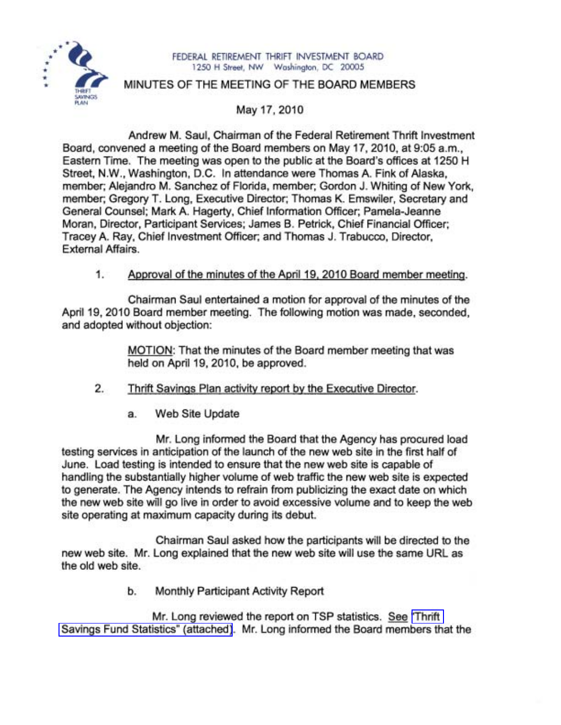

#### FEDERAL RETIREMENT THRIFT INVESTMENT BOARD 1250 H Street, NW Washington, DC 20005

# MINUTES OF THE MEETING OF THE BOARD MEMBERS

May 17, 2010

Andrew M. Saul, Chairman of the Federal Retirement Thrift Investment Board, convened a meeting of the Board members on May 17, 2010, at 9:05 a.m., Eastern Time. The meeting was open to the public at the Board's offices at 1250 H Street, N.W., Washington, D.C. In attendance were Thomas A. Fink of Alaska, member; Alejandro M. Sanchez of Florida, member; Gordon J. Whiting of New York, member; Gregory T. Long, Executive Director; Thomas K. Emswiler, Secretary and General Counsel; Mark A. Hagerty, Chief Information Officer; Pamela-Jeanne Moran, Director, Participant Services; James B. Petrick, Chief Financial Officer; Tracey A. Ray, Chief Investment Officer; and Thomas J. Trabucco, Director, External Affairs.

# 1. Approval of the minutes of the April 19. 2010 Board member meeting.

Chairman Saul entertained a motion for approval of the minutes of the April 19, 2010 Board member meeting. The following motion was made, seconded, and adopted without objection:

> MOTION: That the minutes of the Board member meeting that was held on April 19, 2010, be approved.

- 2. Thrift Savings Plan activity report by the Executive Director.
	- a. Web Site Update

Mr. Long informed the Board that the Agency has procured load testing services in anticipation of the launch of the new web site in the first half of June. Load testing is intended to ensure that the new web site is capable of handling the substantially higher volume of web traffic the new web site is expected to generate. The Agency intends to refrain from publicizing the exact date on which the new web site will go live in order to avoid excessive volume and to keep the web site operating at maximum capacity during its debut.

Chairman Saul asked how the participants will be directed to the new web site. Mr. Long explained that the new web site will use the same URL as the old web site.

b. Monthly Participant Activity Report

Mr. Long reviewed the report on TSP statistics. See ['Thrift](http://www.frtib.gov/pdf/minutes/MM-2010May-Att1.pdf) Savings Fund Statistics" [\(attached\)](http://www.frtib.gov/pdf/minutes/MM-2010May-Att1.pdf). Mr. Long informed the Board members that the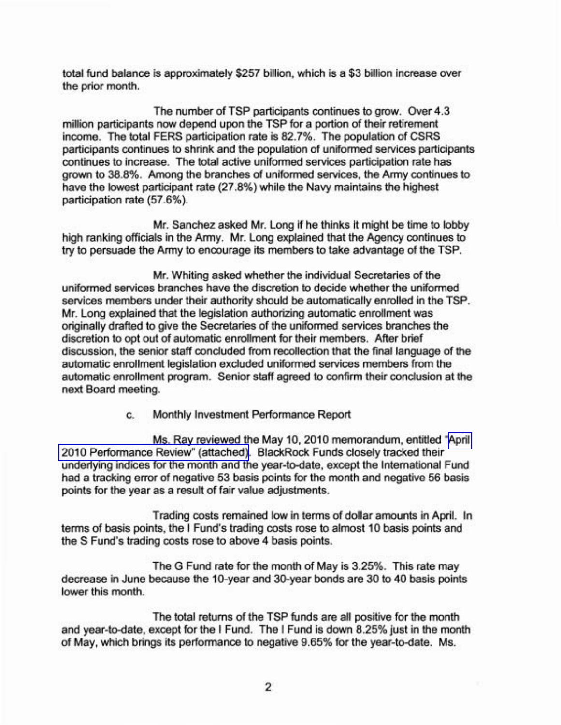total fund balance is approximately \$257 billion, which is a \$3 billion increase over the prior month.

The number of TSP participants continues to grow. Over 4.3 million participants now depend upon the TSP for a portion of their retirement income. The total FERS participation rate is 82.7%. The population of CSRS participants continues to shrink and the population of uniformed services participants continues to increase. The total active uniformed services participation rate has grown to 38.8%. Among the branches of uniformed services, the Army continues to have the lowest participant rate (27.8%) while the Navy maintains the highest participation rate (57.6%).

Mr. Sanchez asked Mr. Long if he thinks it might be time to lobby high ranking officials in the Army. Mr. Long explained that the Agency continues to try to persuade the Army to encourage its members to take advantage of the TSP.

Mr. Whiting asked whether the individual Secretaries of the uniformed services branches have the discretion to decide whether the uniformed services members under their authority should be automatically enrolled in the TSP. Mr. Long explained that the legislation authorizing automatic enrollment was originally drafted to give the Secretaries of the uniformed services branches the discretion to opt out of automatic enrollment for their members. After brief discussion, the senior staff concluded from recollection that the final language of the automatic enrollment legislation excluded uniformed services members from the automatic enrollment program. Senior staff agreed to confirm their conclusion at the next Board meeting.

c. Monthly Investment Performance Report

Ms. Ray reviewed the May 10, 2010 memorandum, entitled "[April](http://www.frtib.gov/pdf/minutes/MM-2010May-Att2.pdf) 2010 [Performance](http://www.frtib.gov/pdf/minutes/MM-2010May-Att2.pdf) Review" (attached). BlackRock Funds closely tracked their underlying indices for the month and the year-to-date, except the International Fund had a tracking error of negative 53 basis points for the month and negative 56 basis points for the year as a result of fair value adjustments.

Trading costs remained low in terms of dollar amounts in April. In terms of basis points, the I Fund's trading costs rose to almost 10 basis points and the S Fund's trading costs rose to above 4 basis points.

The G Fund rate for the month of May is 3.25%. This rate may decrease in June because the 1O-year and 30-year bonds are 30 to 40 basis points lower this month.

The total returns of the TSP funds are all positive for the month and year-to-date, except for the I Fund. The I Fund is down 8.25% just in the month of May, which brings its performance to negative 9.65% for the year-to-date. Ms.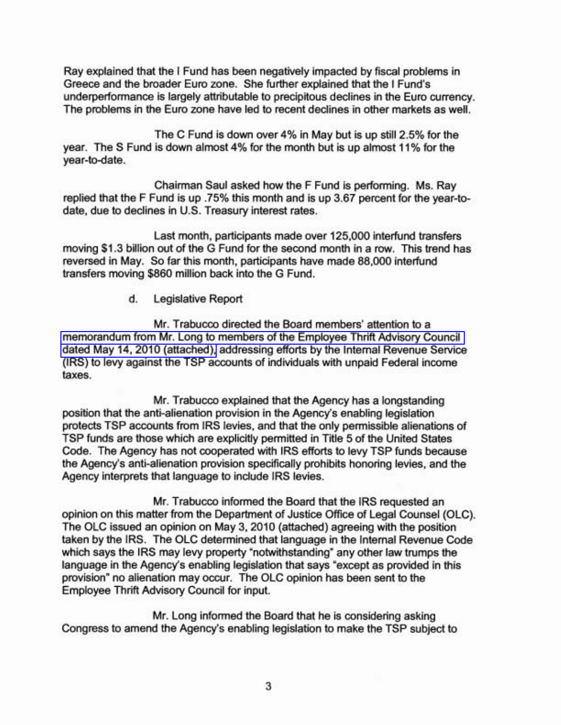Ray explained that the I Fund has been negatively impacted by fiscal problems in Greece and the broader Euro zone. She further explained that the I Fund's underperformance is largely attributable to precipitous declines in the Euro currency. The problems in the Euro zone have led to recent declines in other markets as well.

The C Fund is down over 4% in May but is up still 2.5% for the year. The S Fund is down almost 4% for the month but is up almost 11% for the year-to-date.

Chairman Saul asked how the F Fund is performing. Ms. Ray replied that the F Fund is up .75% this month and is up 3.67 percent for the year-todate, due to declines in U.S. Treasury interest rates.

Last month, participants made over 125,000 interfund transfers moving \$1.3 billion out of the G Fund for the second month in a row. This trend has reversed in May. So far this month, participants have made 88,000 interfund transfers moving \$860 million back into the G Fund.

### d. Legislative Report

Mr. Trabucco directed the Board members' attention to a [memorandum](http://www.frtib.gov/pdf/minutes/MM-2010May-Att3.pdf) from Mr. Long to members of the Employee Thrift Advisory Council dated May 14, 2010 [\(attached\),](http://www.frtib.gov/pdf/minutes/MM-2010May-Att3.pdf) addressing efforts by the Internal Revenue Service (IRS) to levy against the TSP accounts of individuals with unpaid Federal income taxes.

Mr. Trabucco explained that the Agency has a longstanding position that the anti-alienation provision in the Agency's enabling legislation protects TSP accounts from IRS levies, and that the only permissible alienations of TSP funds are those which are explicitly permitted in Title 5 of the United States Code. The Agency has not cooperated with IRS efforts to levy TSP funds because the Agency's anti-alienation provision specifically prohibits honoring levies, and the Agency interprets that language to include IRS levies.

Mr. Trabucco informed the Board that the IRS requested an opinion on this matter from the Department of Justice Office of Legal Counsel (OLC). The OLC issued an opinion on May 3,2010 (attached) agreeing with the position taken by the IRS. The OLC determined that language in the Internal Revenue Code which says the IRS may levy property "notwithstanding" any other law trumps the language in the Agency's enabling legislation that says "except as provided in this provision" no alienation may occur. The OLC opinion has been sent to the Employee Thrift Advisory Council for input.

Mr. Long informed the Board that he is considering asking Congress to amend the Agency's enabling legislation to make the TSP subject to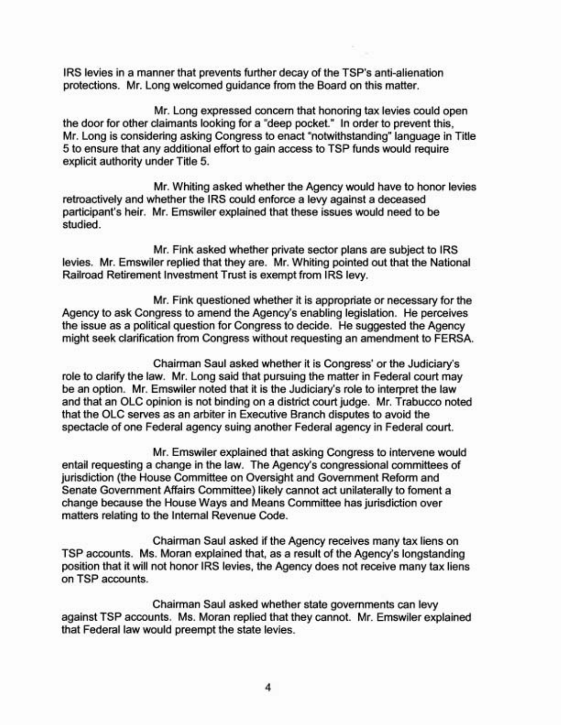IRS levies in a manner that prevents further decay of the TSP's anti-alienation protections. Mr. Long welcomed guidance from the Board on this matter.

Mr. Long expressed concern that honoring tax levies could open the door for other claimants looking for a "deep pocket." In order to prevent this, Mr. Long is considering asking Congress to enact "notwithstanding" language in Title 5 to ensure that any additional effort to gain access to TSP funds would require explicit authority under Title 5.

Mr. Whiting asked whether the Agency would have to honor levies retroactively and whether the IRS could enforce a levy against a deceased participant's heir. Mr. Emswiler explained that these issues would need to be studied.

Mr. Fink asked whether private sector plans are subject to IRS levies. Mr. Emswiler replied that they are. Mr. Whiting pointed out that the National Railroad Retirement Investment Trust is exempt from IRS levy.

Mr. Fink questioned whether it is appropriate or necessary for the Agency to ask Congress to amend the Agency's enabling legislation. He perceives the issue as a political question for Congress to decide. He suggested the Agency might seek clarification from Congress without requesting an amendment to FERSA.

Chairman Saul asked whether it is Congress' or the Judiciary's role to clarify the law. Mr. Long said that pursuing the matter in Federal court may be an option. Mr. Emswiler noted that it is the Judiciary's role to interpret the law and that an OLC opinion is not binding on a district court judge. Mr. Trabucco noted that the OLC serves as an arbiter in Executive Branch disputes to avoid the spectacle of one Federal agency suing another Federal agency in Federal court.

Mr. Emswiler explained that asking Congress to intervene would entail requesting a change in the law. The Agency's congressional committees of jurisdiction (the House Committee on Oversight and Government Reform and Senate Government Affairs Committee) likely cannot act unilaterally to foment a change because the House Ways and Means Committee has jurisdiction over matters relating to the Internal Revenue Code.

Chairman Saul asked if the Agency receives many tax liens on TSP accounts. Ms. Moran explained that, as a result of the Agency's longstanding position that it will not honor IRS levies, the Agency does not receive many tax liens on TSP accounts.

Chairman Saul asked whether state governments can levy against TSP accounts. Ms. Moran replied that they cannot. Mr. Emswiler explained that Federal law would preempt the state levies.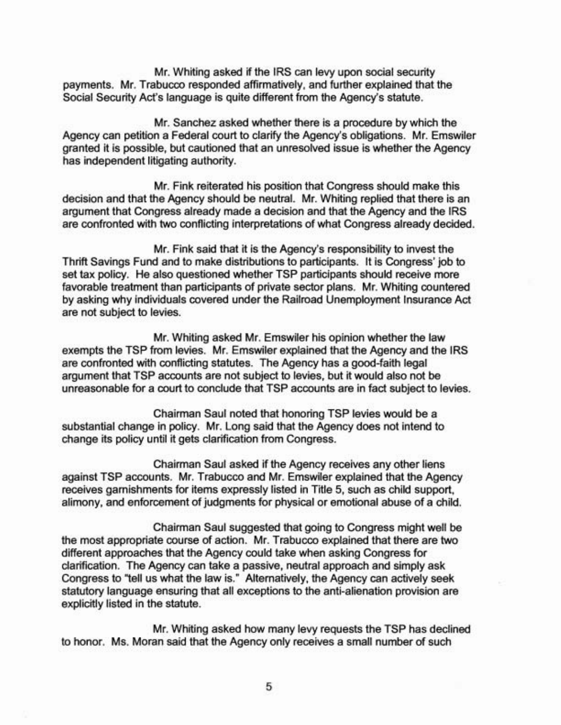Mr. Whiting asked if the IRS can levy upon social security payments. Mr. Trabucco responded affirmatively, and further explained that the Social Security Act's language is quite different from the Agency's statute.

Mr. Sanchez asked whether there is a procedure by which the Agency can petition a Federal court to clarify the Agency's obligations. Mr. Emswiler granted it is possible, but cautioned that an unresolved issue is whether the Agency has independent litigating authority.

Mr. Fink reiterated his position that Congress should make this decision and that the Agency should be neutral. Mr. Whiting replied that there is an argument that Congress already made a decision and that the Agency and the IRS are confronted with two conflicting interpretations of what Congress already decided.

Mr. Fink said that it is the Agency's responsibility to invest the Thrift Savings Fund and to make distributions to participants. It is Congress' job to set tax policy. He also questioned whether TSP participants should receive more favorable treatment than participants of private sector plans. Mr. Whiting countered by asking why individuals covered under the Railroad Unemployment Insurance Act are not subject to levies.

Mr. Whiting asked Mr. Emswiler his opinion whether the law exempts the TSP from levies. Mr. Emswiler explained that the Agency and the IRS are confronted with conflicting statutes. The Agency has a good-faith legal argument that TSP accounts are not subject to levies, but it would also not be unreasonable for a court to conclude that TSP accounts are in fact subject to levies.

Chairman Saul noted that honoring TSP levies would be a substantial change in policy. Mr. Long said that the Agency does not intend to change its policy until it gets clarification from Congress.

Chairman Saul asked if the Agency receives any other liens against TSP accounts. Mr. Trabucco and Mr. Emswiler explained that the Agency receives garnishments for items expressly listed in Title 5, such as child support, alimony, and enforcement of judgments for physical or emotional abuse of a child.

Chairman Saul suggested that going to Congress might well be the most appropriate course of action. Mr. Trabucco explained that there are two different approaches that the Agency could take when asking Congress for clarification. The Agency can take a passive, neutral approach and simply ask Congress to ''tell us what the law is." Alternatively, the Agency can actively seek statutory language ensuring that all exceptions to the anti-alienation provision are explicitly listed in the statute.

Mr. Whiting asked how many levy requests the TSP has declined to honor. Ms. Moran said that the Agency only receives a small number of such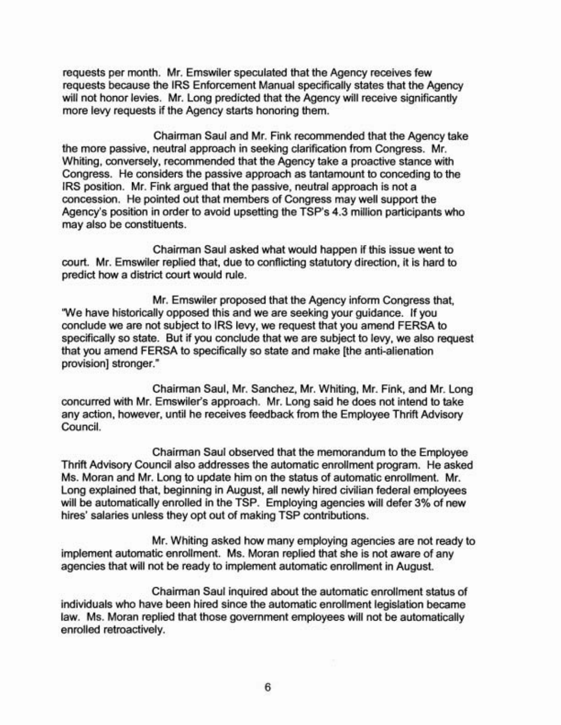requests per month. Mr. Emswiler speculated that the Agency receives few requests because the IRS Enforcement Manual specifically states that the Agency will not honor levies. Mr. Long predicted that the Agency will receive significantly more levy requests if the Agency starts honoring them.

Chairman Saul and Mr. Fink recommended that the Agency take the more passive, neutral approach in seeking clarification from Congress. Mr. Whiting, conversely, recommended that the Agency take a proactive stance with Congress. He considers the passive approach as tantamount to conceding to the IRS position. Mr. Fink argued that the passive, neutral approach is not a concession. He pointed out that members of Congress may well support the Agency's position in order to avoid upsetting the TSP's 4.3 million participants who may also be constituents.

Chairman Saul asked what would happen if this issue went to court. Mr. Emswiler replied that, due to conflicting statutory direction, it is hard to predict how a district court would rule.

Mr. Emswiler proposed that the Agency inform Congress that, 'We have historically opposed this and we are seeking your guidance. If you conclude we are not subject to IRS levy, we request that you amend FERSA to specifically so state. But if you conclude that we are subject to levy, we also request that you amend FERSA to specifically so state and make [the anti-alienation provision] stronger."

Chairman Saul, Mr. Sanchez, Mr. Whiting, Mr. Fink, and Mr. Long concurred with Mr. Emswiler's approach. Mr. Long said he does not intend to take any action, however, until he receives feedback from the Employee Thrift Advisory Council.

Chairman Saul observed that the memorandum to the Employee Thrift Advisory Council also addresses the automatic enrollment program. He asked Ms. Moran and Mr. Long to update him on the status of automatic enrollment. Mr. Long explained that, beginning in August, all newly hired civilian federal employees will be automatically enrolled in the TSP. Employing agencies will defer 3% of new hires' salaries unless they opt out of making TSP contributions.

Mr. Whiting asked how many employing agencies are not ready to implement automatic enrollment. Ms. Moran replied that she is not aware of any agencies that will not be ready to implement automatic enrollment in August.

Chairman Saul inquired about the automatic enrollment status of individuals who have been hired since the automatic enrollment legislation became law. Ms. Moran replied that those government employees will not be automatically enrolled retroactively.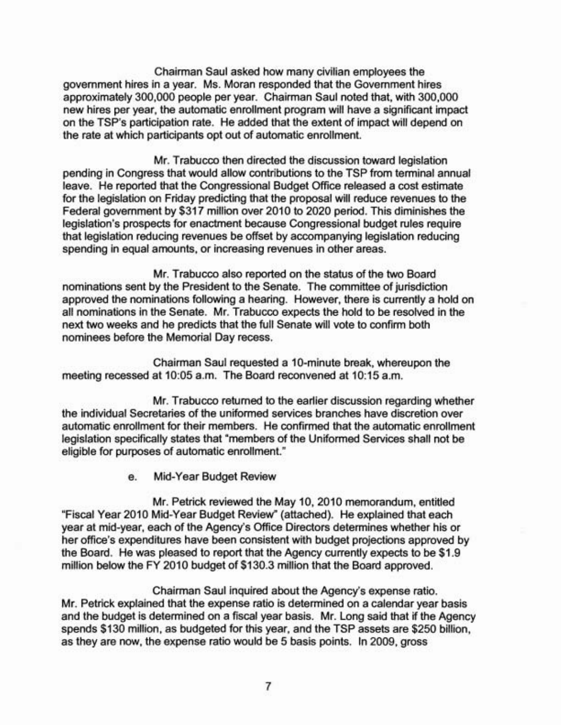Chairman Saul asked how many civilian employees the government hires in a year. Ms. Moran responded that the Government hires approximately 300,000 people per year. Chairman Saul noted that, with 300,000 new hires per year, the automatic enrollment program will have a significant impact on the TSP's participation rate. He added that the extent of impact will depend on the rate at which participants opt out of automatic enrollment.

Mr. Trabucco then directed the discussion toward legislation pending in Congress that would allow contributions to the TSP from terminal annual leave. He reported that the Congressional Budget Office released a cost estimate for the legislation on Friday predicting that the proposal will reduce revenues to the Federal government by \$317 million over 2010 to 2020 period. This diminishes the legislation's prospects for enactment because Congressional budget rules require that legislation reducing revenues be offset by accompanying legislation reducing spending in equal amounts, or increasing revenues in other areas.

Mr. Trabucco also reported on the status of the two Board nominations sent by the President to the Senate. The committee of jurisdiction approved the nominations following a hearing. However, there is currently a hold on all nominations in the Senate. Mr. Trabucco expects the hold to be resolved in the next two weeks and he predicts that the full Senate will vote to confirm both nominees before the Memorial Day recess.

Chairman Saul requested a 10-minute break, whereupon the meeting recessed at 10:05 a.m. The Board reconvened at 10:15 a.m.

Mr. Trabucco returned to the earlier discussion regarding whether the individual Secretaries of the uniformed services branches have discretion over automatic enrollment for their members. He confirmed that the automatic enrollment legislation specifically states that "members of the Uniformed Services shall not be eligible for purposes of automatic enrollment."

e. Mid-Year Budget Review

Mr. Petrick reviewed the May 10, 2010 memorandum, entitled "Fiscal Year 2010 Mid-Year Budget Review" (attached). He explained that each year at mid-year, each of the Agency's Office Directors determines whether his or her office's expenditures have been consistent with budget projections approved by the Board. He was pleased to report that the Agency currently expects to be \$1.9 million below the FY 2010 budget of \$130.3 million that the Board approved.

Chairman Saul inquired about the Agency's expense ratio. Mr. Petrick explained that the expense ratio is determined on a calendar year basis and the budget is determined on a fiscal year basis. Mr. Long said that if the Agency spends \$130 million, as budgeted for this year, and the TSP assets are \$250 billion, as they are now, the expense ratio would be 5 basis points. In 2009, gross